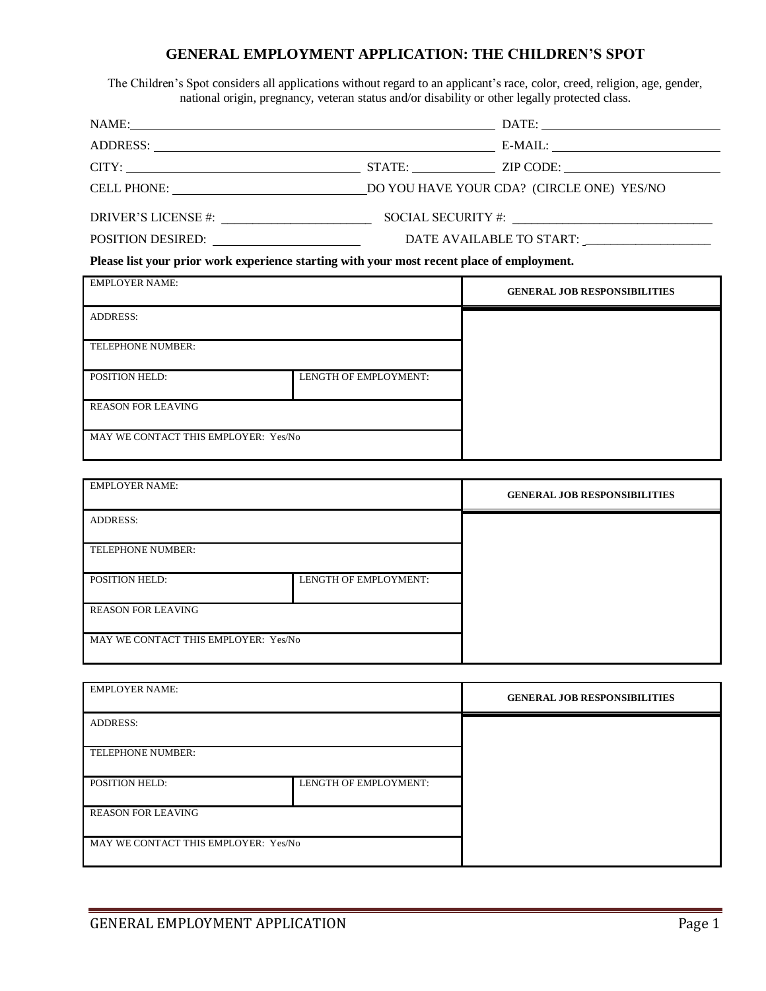## **GENERAL EMPLOYMENT APPLICATION: THE CHILDREN'S SPOT**

The Children's Spot considers all applications without regard to an applicant's race, color, creed, religion, age, gender, national origin, pregnancy, veteran status and/or disability or other legally protected class.

| DRIVER'S LICENSE #:                                                                        |                                                                     | SOCIAL SECURITY #:                  |  |
|--------------------------------------------------------------------------------------------|---------------------------------------------------------------------|-------------------------------------|--|
|                                                                                            | POSITION DESIRED:<br>DATE AVAILABLE TO START: _____________________ |                                     |  |
| Please list your prior work experience starting with your most recent place of employment. |                                                                     |                                     |  |
|                                                                                            |                                                                     |                                     |  |
| <b>EMPLOYER NAME:</b>                                                                      |                                                                     | <b>GENERAL JOB RESPONSIBILITIES</b> |  |
| <b>ADDRESS:</b>                                                                            |                                                                     |                                     |  |
| TELEPHONE NUMBER:                                                                          |                                                                     |                                     |  |
| <b>POSITION HELD:</b>                                                                      | LENGTH OF EMPLOYMENT:                                               |                                     |  |

MAY WE CONTACT THIS EMPLOYER: Yes/No

| <b>EMPLOYER NAME:</b>                |                       | <b>GENERAL JOB RESPONSIBILITIES</b> |  |
|--------------------------------------|-----------------------|-------------------------------------|--|
| <b>ADDRESS:</b>                      |                       |                                     |  |
| TELEPHONE NUMBER:                    |                       |                                     |  |
| POSITION HELD:                       | LENGTH OF EMPLOYMENT: |                                     |  |
| <b>REASON FOR LEAVING</b>            |                       |                                     |  |
| MAY WE CONTACT THIS EMPLOYER: Yes/No |                       |                                     |  |

| <b>EMPLOYER NAME:</b>                          |  | <b>GENERAL JOB RESPONSIBILITIES</b> |  |
|------------------------------------------------|--|-------------------------------------|--|
| <b>ADDRESS:</b>                                |  |                                     |  |
| TELEPHONE NUMBER:                              |  |                                     |  |
| LENGTH OF EMPLOYMENT:<br><b>POSITION HELD:</b> |  |                                     |  |
| <b>REASON FOR LEAVING</b>                      |  |                                     |  |
| MAY WE CONTACT THIS EMPLOYER: Yes/No           |  |                                     |  |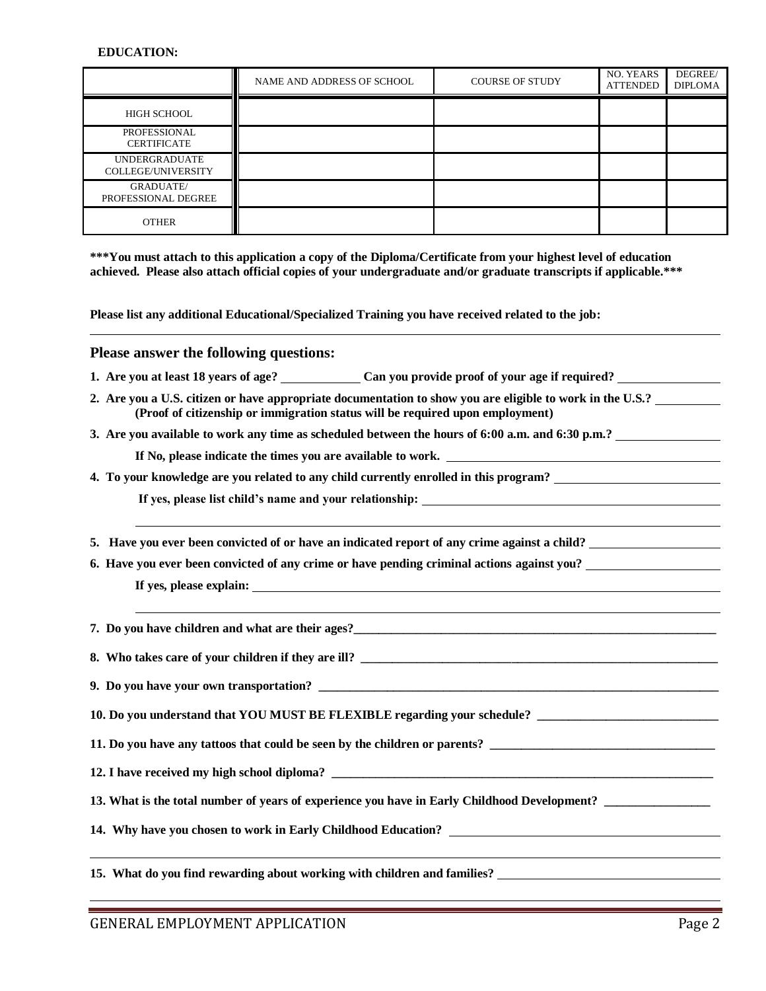### **EDUCATION:**

|                                            | NAME AND ADDRESS OF SCHOOL | <b>COURSE OF STUDY</b> | NO. YEARS<br><b>ATTENDED</b> | DEGREE/<br><b>DIPLOMA</b> |
|--------------------------------------------|----------------------------|------------------------|------------------------------|---------------------------|
| HIGH SCHOOL                                |                            |                        |                              |                           |
| PROFESSIONAL<br><b>CERTIFICATE</b>         |                            |                        |                              |                           |
| <b>UNDERGRADUATE</b><br>COLLEGE/UNIVERSITY |                            |                        |                              |                           |
| <b>GRADUATE</b> /<br>PROFESSIONAL DEGREE   |                            |                        |                              |                           |
| <b>OTHER</b>                               |                            |                        |                              |                           |

**\*\*\*You must attach to this application a copy of the Diploma/Certificate from your highest level of education achieved. Please also attach official copies of your undergraduate and/or graduate transcripts if applicable.\*\*\***

**Please list any additional Educational/Specialized Training you have received related to the job:**

## **Please answer the following questions:**

- **1. Are you at least 18 years of age? Can you provide proof of your age if required?**
- **2. Are you a U.S. citizen or have appropriate documentation to show you are eligible to work in the U.S.? (Proof of citizenship or immigration status will be required upon employment)**
- **3. Are you available to work any time as scheduled between the hours of 6:00 a.m. and 6:30 p.m.?**

**If No, please indicate the times you are available to work.** 

**4. To your knowledge are you related to any child currently enrolled in this program?**

**If yes, please list child's name and your relationship:** 

**5. Have you ever been convicted of or have an indicated report of any crime against a child?** 

**6. Have you ever been convicted of any crime or have pending criminal actions against you?** 

**If yes, please explain:** 

**7. Do you have children and what are their ages?\_\_\_\_\_\_\_\_\_\_\_\_\_\_\_\_\_\_\_\_\_\_\_\_\_\_\_\_\_\_\_\_\_\_\_\_\_\_\_\_\_\_\_\_\_\_\_\_\_\_\_\_\_\_\_\_\_\_**

**8.** Who takes care of your children if they are ill?

**9. Do you have your own transportation? \_\_\_\_\_\_\_\_\_\_\_\_\_\_\_\_\_\_\_\_\_\_\_\_\_\_\_\_\_\_\_\_\_\_\_\_\_\_\_\_\_\_\_\_\_\_\_\_\_\_\_\_\_\_\_\_\_\_\_\_\_\_\_\_**

**10. Do you understand that YOU MUST BE FLEXIBLE regarding your schedule? \_\_\_\_\_\_\_\_\_\_\_\_\_\_\_\_\_\_\_\_\_\_\_\_\_\_\_\_\_**

**11. Do you have any tattoos that could be seen by the children or parents? \_\_\_\_\_\_\_\_\_\_\_\_\_\_\_\_\_\_\_\_\_\_\_\_\_\_\_\_\_\_\_\_\_\_\_\_**

**12. I have received my high school diploma?** 

**13. What is the total number of years of experience you have in Early Childhood Development? \_\_\_\_\_\_\_\_\_\_\_\_\_\_\_\_\_**

**14. Why have you chosen to work in Early Childhood Education?** 

**15. What do you find rewarding about working with children and families?**